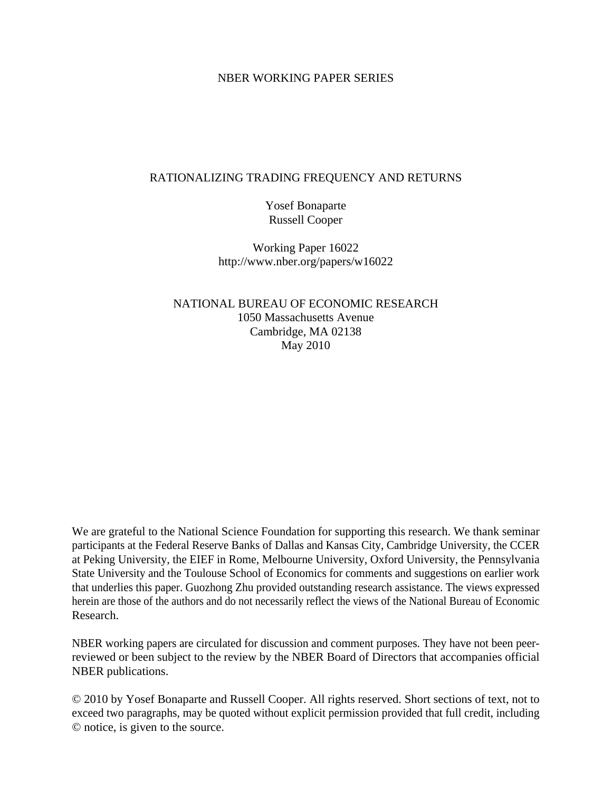### NBER WORKING PAPER SERIES

### RATIONALIZING TRADING FREQUENCY AND RETURNS

Yosef Bonaparte Russell Cooper

Working Paper 16022 http://www.nber.org/papers/w16022

NATIONAL BUREAU OF ECONOMIC RESEARCH 1050 Massachusetts Avenue Cambridge, MA 02138 May 2010

We are grateful to the National Science Foundation for supporting this research. We thank seminar participants at the Federal Reserve Banks of Dallas and Kansas City, Cambridge University, the CCER at Peking University, the EIEF in Rome, Melbourne University, Oxford University, the Pennsylvania State University and the Toulouse School of Economics for comments and suggestions on earlier work that underlies this paper. Guozhong Zhu provided outstanding research assistance. The views expressed herein are those of the authors and do not necessarily reflect the views of the National Bureau of Economic Research.

NBER working papers are circulated for discussion and comment purposes. They have not been peerreviewed or been subject to the review by the NBER Board of Directors that accompanies official NBER publications.

© 2010 by Yosef Bonaparte and Russell Cooper. All rights reserved. Short sections of text, not to exceed two paragraphs, may be quoted without explicit permission provided that full credit, including © notice, is given to the source.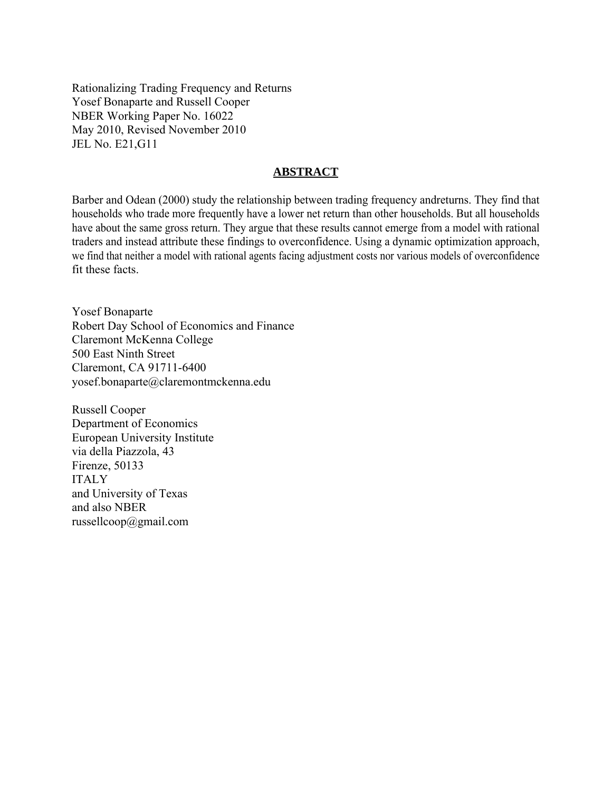Rationalizing Trading Frequency and Returns Yosef Bonaparte and Russell Cooper NBER Working Paper No. 16022 May 2010, Revised November 2010 JEL No. E21,G11

### **ABSTRACT**

Barber and Odean (2000) study the relationship between trading frequency andreturns. They find that households who trade more frequently have a lower net return than other households. But all households have about the same gross return. They argue that these results cannot emerge from a model with rational traders and instead attribute these findings to overconfidence. Using a dynamic optimization approach, we find that neither a model with rational agents facing adjustment costs nor various models of overconfidence fit these facts.

Yosef Bonaparte Robert Day School of Economics and Finance Claremont McKenna College 500 East Ninth Street Claremont, CA 91711-6400 yosef.bonaparte@claremontmckenna.edu

Russell Cooper Department of Economics European University Institute via della Piazzola, 43 Firenze, 50133 ITALY and University of Texas and also NBER russellcoop@gmail.com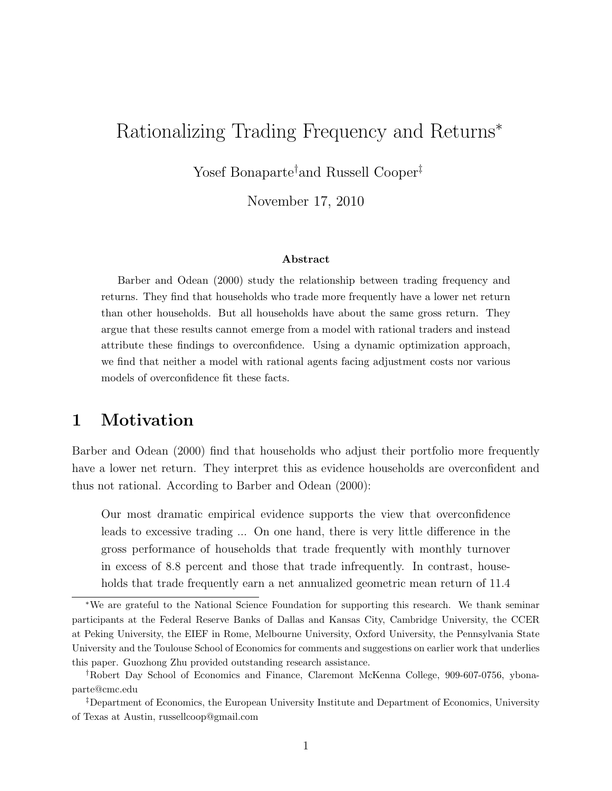# Rationalizing Trading Frequency and Returns<sup>∗</sup>

Yosef Bonaparte<sup>†</sup>and Russell Cooper<sup>‡</sup>

November 17, 2010

#### Abstract

Barber and Odean (2000) study the relationship between trading frequency and returns. They find that households who trade more frequently have a lower net return than other households. But all households have about the same gross return. They argue that these results cannot emerge from a model with rational traders and instead attribute these findings to overconfidence. Using a dynamic optimization approach, we find that neither a model with rational agents facing adjustment costs nor various models of overconfidence fit these facts.

## 1 Motivation

Barber and Odean (2000) find that households who adjust their portfolio more frequently have a lower net return. They interpret this as evidence households are overconfident and thus not rational. According to Barber and Odean (2000):

Our most dramatic empirical evidence supports the view that overconfidence leads to excessive trading ... On one hand, there is very little difference in the gross performance of households that trade frequently with monthly turnover in excess of 8.8 percent and those that trade infrequently. In contrast, households that trade frequently earn a net annualized geometric mean return of 11.4

<sup>∗</sup>We are grateful to the National Science Foundation for supporting this research. We thank seminar participants at the Federal Reserve Banks of Dallas and Kansas City, Cambridge University, the CCER at Peking University, the EIEF in Rome, Melbourne University, Oxford University, the Pennsylvania State University and the Toulouse School of Economics for comments and suggestions on earlier work that underlies this paper. Guozhong Zhu provided outstanding research assistance.

<sup>†</sup>Robert Day School of Economics and Finance, Claremont McKenna College, 909-607-0756, ybonaparte@cmc.edu

<sup>‡</sup>Department of Economics, the European University Institute and Department of Economics, University of Texas at Austin, russellcoop@gmail.com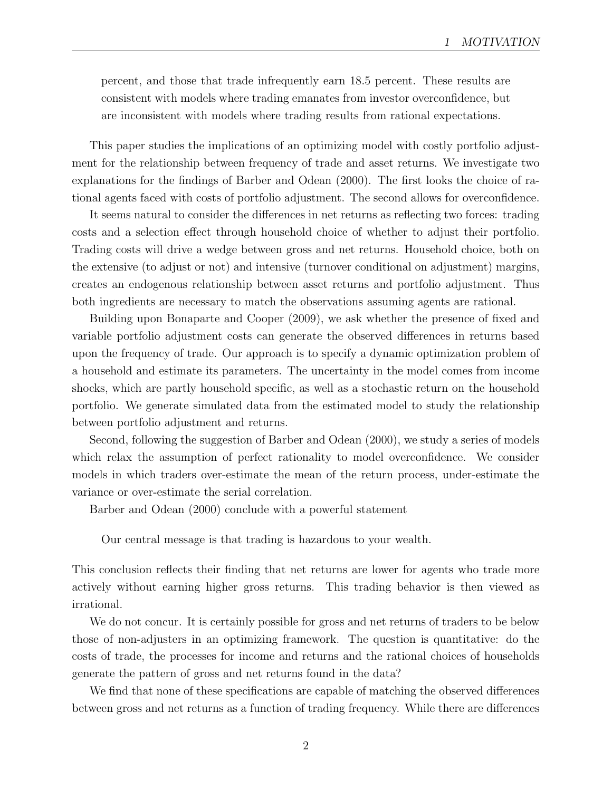percent, and those that trade infrequently earn 18.5 percent. These results are consistent with models where trading emanates from investor overconfidence, but are inconsistent with models where trading results from rational expectations.

This paper studies the implications of an optimizing model with costly portfolio adjustment for the relationship between frequency of trade and asset returns. We investigate two explanations for the findings of Barber and Odean (2000). The first looks the choice of rational agents faced with costs of portfolio adjustment. The second allows for overconfidence.

It seems natural to consider the differences in net returns as reflecting two forces: trading costs and a selection effect through household choice of whether to adjust their portfolio. Trading costs will drive a wedge between gross and net returns. Household choice, both on the extensive (to adjust or not) and intensive (turnover conditional on adjustment) margins, creates an endogenous relationship between asset returns and portfolio adjustment. Thus both ingredients are necessary to match the observations assuming agents are rational.

Building upon Bonaparte and Cooper (2009), we ask whether the presence of fixed and variable portfolio adjustment costs can generate the observed differences in returns based upon the frequency of trade. Our approach is to specify a dynamic optimization problem of a household and estimate its parameters. The uncertainty in the model comes from income shocks, which are partly household specific, as well as a stochastic return on the household portfolio. We generate simulated data from the estimated model to study the relationship between portfolio adjustment and returns.

Second, following the suggestion of Barber and Odean (2000), we study a series of models which relax the assumption of perfect rationality to model overconfidence. We consider models in which traders over-estimate the mean of the return process, under-estimate the variance or over-estimate the serial correlation.

Barber and Odean (2000) conclude with a powerful statement

Our central message is that trading is hazardous to your wealth.

This conclusion reflects their finding that net returns are lower for agents who trade more actively without earning higher gross returns. This trading behavior is then viewed as irrational.

We do not concur. It is certainly possible for gross and net returns of traders to be below those of non-adjusters in an optimizing framework. The question is quantitative: do the costs of trade, the processes for income and returns and the rational choices of households generate the pattern of gross and net returns found in the data?

We find that none of these specifications are capable of matching the observed differences between gross and net returns as a function of trading frequency. While there are differences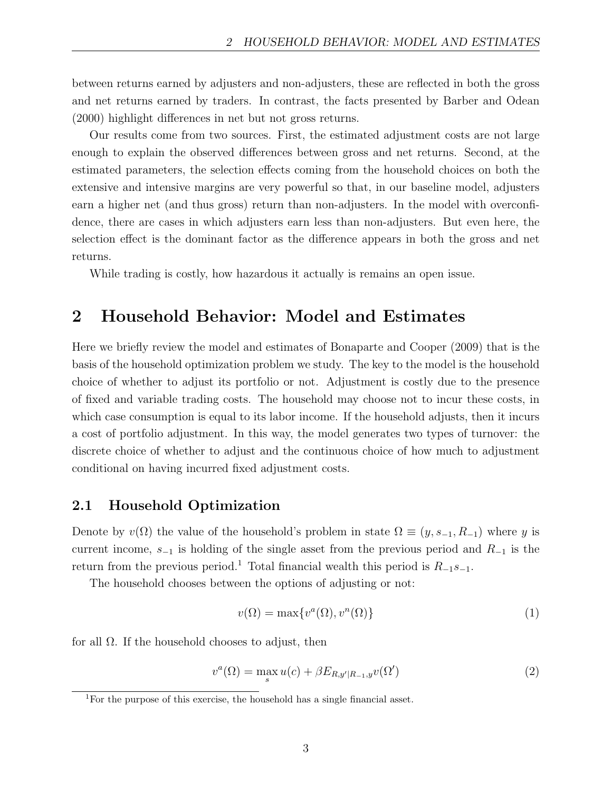between returns earned by adjusters and non-adjusters, these are reflected in both the gross and net returns earned by traders. In contrast, the facts presented by Barber and Odean (2000) highlight differences in net but not gross returns.

Our results come from two sources. First, the estimated adjustment costs are not large enough to explain the observed differences between gross and net returns. Second, at the estimated parameters, the selection effects coming from the household choices on both the extensive and intensive margins are very powerful so that, in our baseline model, adjusters earn a higher net (and thus gross) return than non-adjusters. In the model with overconfidence, there are cases in which adjusters earn less than non-adjusters. But even here, the selection effect is the dominant factor as the difference appears in both the gross and net returns.

While trading is costly, how hazardous it actually is remains an open issue.

## 2 Household Behavior: Model and Estimates

Here we briefly review the model and estimates of Bonaparte and Cooper (2009) that is the basis of the household optimization problem we study. The key to the model is the household choice of whether to adjust its portfolio or not. Adjustment is costly due to the presence of fixed and variable trading costs. The household may choose not to incur these costs, in which case consumption is equal to its labor income. If the household adjusts, then it incurs a cost of portfolio adjustment. In this way, the model generates two types of turnover: the discrete choice of whether to adjust and the continuous choice of how much to adjustment conditional on having incurred fixed adjustment costs.

## 2.1 Household Optimization

Denote by  $v(\Omega)$  the value of the household's problem in state  $\Omega \equiv (y, s_{-1}, R_{-1})$  where y is current income,  $s_{-1}$  is holding of the single asset from the previous period and  $R_{-1}$  is the return from the previous period.<sup>1</sup> Total financial wealth this period is  $R_{-1} s_{-1}$ .

The household chooses between the options of adjusting or not:

$$
v(\Omega) = \max\{v^a(\Omega), v^n(\Omega)\}\tag{1}
$$

for all  $\Omega$ . If the household chooses to adjust, then

$$
v^{a}(\Omega) = \max_{s} u(c) + \beta E_{R,y'|R_{-1},y} v(\Omega')
$$
\n(2)

<sup>1</sup>For the purpose of this exercise, the household has a single financial asset.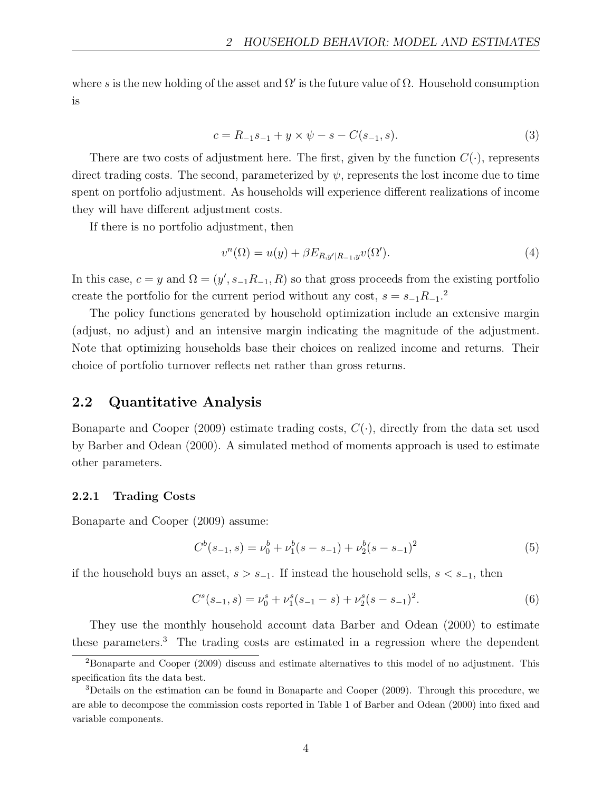where s is the new holding of the asset and  $\Omega'$  is the future value of  $\Omega$ . Household consumption is

$$
c = R_{-1}s_{-1} + y \times \psi - s - C(s_{-1}, s). \tag{3}
$$

There are two costs of adjustment here. The first, given by the function  $C(\cdot)$ , represents direct trading costs. The second, parameterized by  $\psi$ , represents the lost income due to time spent on portfolio adjustment. As households will experience different realizations of income they will have different adjustment costs.

If there is no portfolio adjustment, then

$$
v^{n}(\Omega) = u(y) + \beta E_{R,y'|R_{-1},y}v(\Omega').
$$
\n
$$
(4)
$$

In this case,  $c = y$  and  $\Omega = (y', s_{-1}R_{-1}, R)$  so that gross proceeds from the existing portfolio create the portfolio for the current period without any cost,  $s = s_{-1}R_{-1}$ <sup>2</sup>

The policy functions generated by household optimization include an extensive margin (adjust, no adjust) and an intensive margin indicating the magnitude of the adjustment. Note that optimizing households base their choices on realized income and returns. Their choice of portfolio turnover reflects net rather than gross returns.

## 2.2 Quantitative Analysis

Bonaparte and Cooper (2009) estimate trading costs,  $C(\cdot)$ , directly from the data set used by Barber and Odean (2000). A simulated method of moments approach is used to estimate other parameters.

#### 2.2.1 Trading Costs

Bonaparte and Cooper (2009) assume:

$$
C^{b}(s_{-1}, s) = \nu_0^{b} + \nu_1^{b}(s - s_{-1}) + \nu_2^{b}(s - s_{-1})^2
$$
\n
$$
(5)
$$

if the household buys an asset,  $s > s_{-1}$ . If instead the household sells,  $s < s_{-1}$ , then

$$
Cs(s-1, s) = \nu_0s + \nu_1s(s-1 - s) + \nu_2s(s - s-1)2.
$$
 (6)

They use the monthly household account data Barber and Odean (2000) to estimate these parameters.<sup>3</sup> The trading costs are estimated in a regression where the dependent

<sup>2</sup>Bonaparte and Cooper (2009) discuss and estimate alternatives to this model of no adjustment. This specification fits the data best.

<sup>3</sup>Details on the estimation can be found in Bonaparte and Cooper (2009). Through this procedure, we are able to decompose the commission costs reported in Table 1 of Barber and Odean (2000) into fixed and variable components.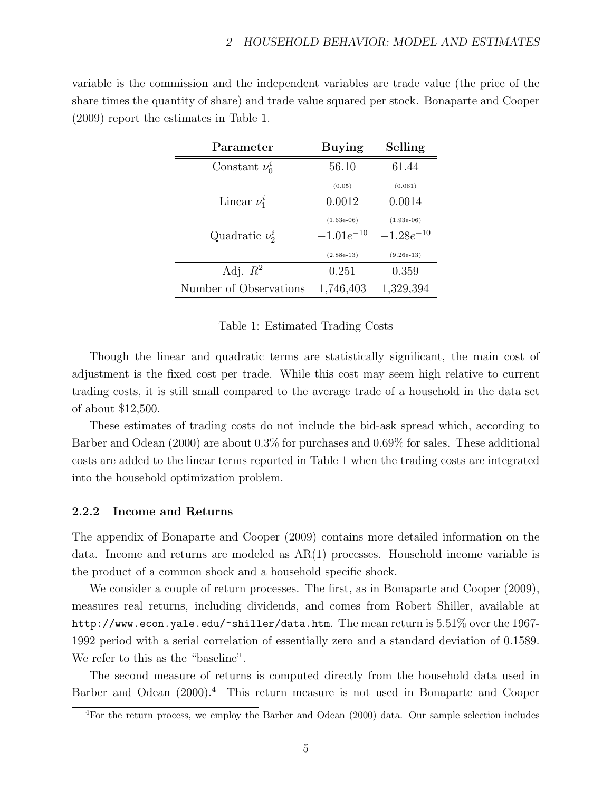variable is the commission and the independent variables are trade value (the price of the share times the quantity of share) and trade value squared per stock. Bonaparte and Cooper (2009) report the estimates in Table 1.

| Parameter              | <b>Buying</b>  | Selling        |
|------------------------|----------------|----------------|
| Constant $\nu_0^i$     | 56.10          | 61.44          |
|                        | (0.05)         | (0.061)        |
| Linear $\nu_1^i$       | 0.0012         | 0.0014         |
|                        | $(1.63e-06)$   | $(1.93e-06)$   |
| Quadratic $\nu^i_2$    | $-1.01e^{-10}$ | $-1.28e^{-10}$ |
|                        | $(2.88e-13)$   | $(9.26e-13)$   |
| Adj. $R^2$             | 0.251          | 0.359          |
| Number of Observations | 1,746,403      | 1,329,394      |

Table 1: Estimated Trading Costs

Though the linear and quadratic terms are statistically significant, the main cost of adjustment is the fixed cost per trade. While this cost may seem high relative to current trading costs, it is still small compared to the average trade of a household in the data set of about \$12,500.

These estimates of trading costs do not include the bid-ask spread which, according to Barber and Odean (2000) are about 0.3% for purchases and 0.69% for sales. These additional costs are added to the linear terms reported in Table 1 when the trading costs are integrated into the household optimization problem.

#### 2.2.2 Income and Returns

The appendix of Bonaparte and Cooper (2009) contains more detailed information on the data. Income and returns are modeled as  $AR(1)$  processes. Household income variable is the product of a common shock and a household specific shock.

We consider a couple of return processes. The first, as in Bonaparte and Cooper (2009), measures real returns, including dividends, and comes from Robert Shiller, available at http://www.econ.yale.edu/~shiller/data.htm. The mean return is 5.51% over the 1967-1992 period with a serial correlation of essentially zero and a standard deviation of 0.1589. We refer to this as the "baseline".

The second measure of returns is computed directly from the household data used in Barber and Odean  $(2000)^4$ . This return measure is not used in Bonaparte and Cooper

<sup>&</sup>lt;sup>4</sup>For the return process, we employ the Barber and Odean (2000) data. Our sample selection includes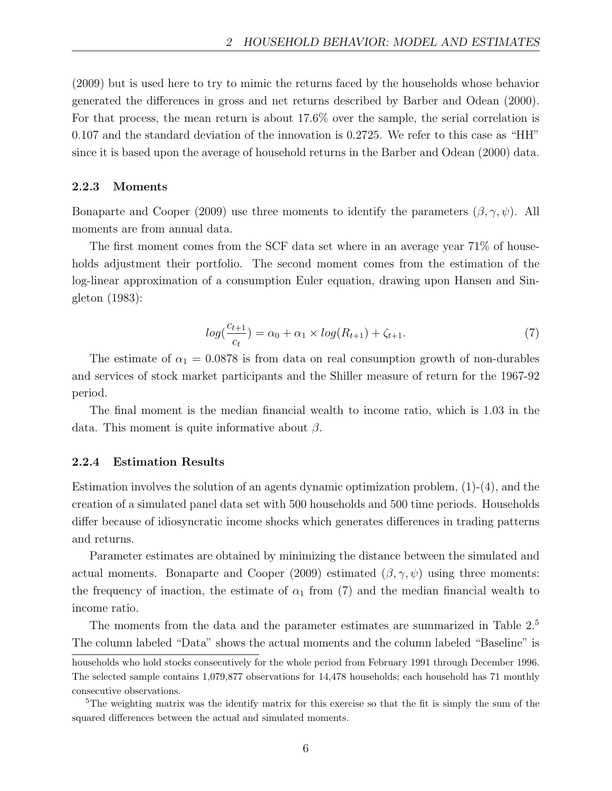(2009) but is used here to try to mimic the returns faced by the households whose behavior generated the differences in gross and net returns described by Barber and Odean (2000). For that process, the mean return is about 17.6% over the sample, the serial correlation is 0.107 and the standard deviation of the innovation is 0.2725. We refer to this case as "HH" since it is based upon the average of household returns in the Barber and Odean (2000) data.

#### 2.2.3 Moments

Bonaparte and Cooper (2009) use three moments to identify the parameters  $(\beta, \gamma, \psi)$ . All moments are from annual data.

The first moment comes from the SCF data set where in an average year 71% of households adjustment their portfolio. The second moment comes from the estimation of the log-linear approximation of a consumption Euler equation, drawing upon Hansen and Singleton (1983):

$$
log(\frac{c_{t+1}}{c_t}) = \alpha_0 + \alpha_1 \times log(R_{t+1}) + \zeta_{t+1}.
$$
\n(7)

The estimate of  $\alpha_1 = 0.0878$  is from data on real consumption growth of non-durables and services of stock market participants and the Shiller measure of return for the 1967-92 period.

The final moment is the median financial wealth to income ratio, which is 1.03 in the data. This moment is quite informative about  $\beta$ .

#### 2.2.4 Estimation Results

Estimation involves the solution of an agents dynamic optimization problem,  $(1)-(4)$ , and the creation of a simulated panel data set with 500 households and 500 time periods. Households differ because of idiosyncratic income shocks which generates differences in trading patterns and returns.

Parameter estimates are obtained by minimizing the distance between the simulated and actual moments. Bonaparte and Cooper (2009) estimated  $(\beta, \gamma, \psi)$  using three moments: the frequency of inaction, the estimate of  $\alpha_1$  from (7) and the median financial wealth to income ratio.

The moments from the data and the parameter estimates are summarized in Table 2.<sup>5</sup> The column labeled "Data" shows the actual moments and the column labeled "Baseline" is

households who hold stocks consecutively for the whole period from February 1991 through December 1996. The selected sample contains 1,079,877 observations for 14,478 households; each household has 71 monthly consecutive observations.

<sup>&</sup>lt;sup>5</sup>The weighting matrix was the identify matrix for this exercise so that the fit is simply the sum of the squared differences between the actual and simulated moments.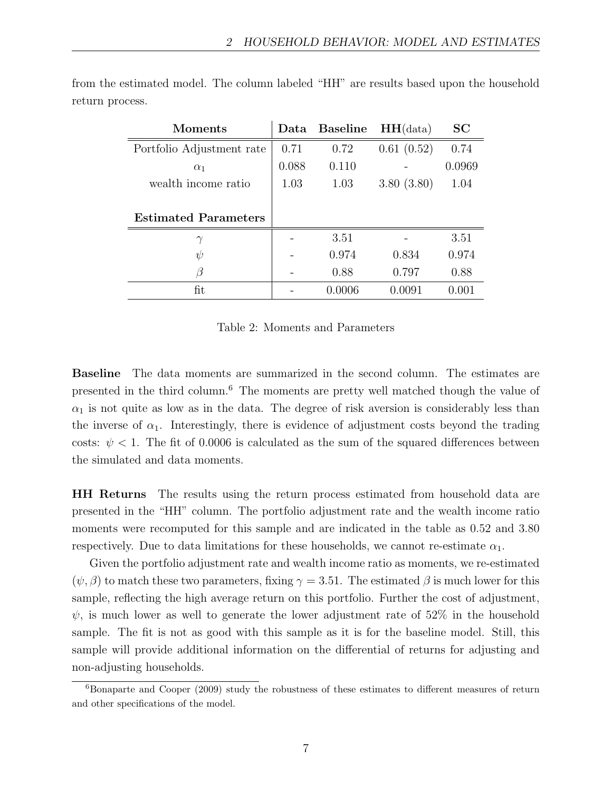| Moments                     | Data  | <b>Baseline</b> | HH(data)   | <b>SC</b> |
|-----------------------------|-------|-----------------|------------|-----------|
| Portfolio Adjustment rate   | 0.71  | 0.72            | 0.61(0.52) | 0.74      |
| $\alpha_1$                  | 0.088 | 0.110           |            | 0.0969    |
| wealth income ratio         | 1.03  | 1.03            | 3.80(3.80) | 1.04      |
|                             |       |                 |            |           |
| <b>Estimated Parameters</b> |       |                 |            |           |
| $\gamma$                    |       | 3.51            |            | 3.51      |
| $\psi$                      |       | 0.974           | 0.834      | 0.974     |
| ß                           |       | 0.88            | 0.797      | 0.88      |
| fit                         |       | 0.0006          | 0.0091     | 0.001     |

from the estimated model. The column labeled "HH" are results based upon the household return process.

Table 2: Moments and Parameters

Baseline The data moments are summarized in the second column. The estimates are presented in the third column.<sup>6</sup> The moments are pretty well matched though the value of  $\alpha_1$  is not quite as low as in the data. The degree of risk aversion is considerably less than the inverse of  $\alpha_1$ . Interestingly, there is evidence of adjustment costs beyond the trading costs:  $\psi$  < 1. The fit of 0.0006 is calculated as the sum of the squared differences between the simulated and data moments.

HH Returns The results using the return process estimated from household data are presented in the "HH" column. The portfolio adjustment rate and the wealth income ratio moments were recomputed for this sample and are indicated in the table as 0.52 and 3.80 respectively. Due to data limitations for these households, we cannot re-estimate  $\alpha_1$ .

Given the portfolio adjustment rate and wealth income ratio as moments, we re-estimated  $(\psi, \beta)$  to match these two parameters, fixing  $\gamma = 3.51$ . The estimated  $\beta$  is much lower for this sample, reflecting the high average return on this portfolio. Further the cost of adjustment,  $\psi$ , is much lower as well to generate the lower adjustment rate of 52% in the household sample. The fit is not as good with this sample as it is for the baseline model. Still, this sample will provide additional information on the differential of returns for adjusting and non-adjusting households.

 $6B$ onaparte and Cooper (2009) study the robustness of these estimates to different measures of return and other specifications of the model.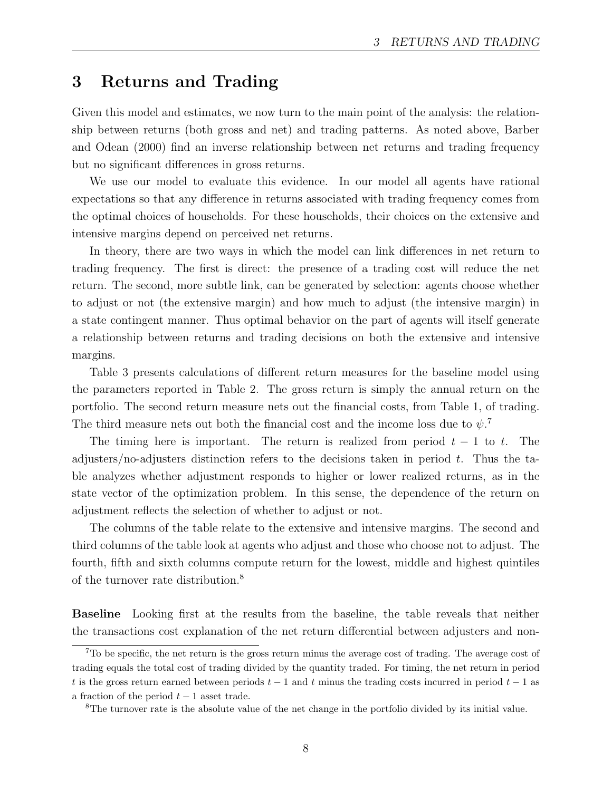## 3 Returns and Trading

Given this model and estimates, we now turn to the main point of the analysis: the relationship between returns (both gross and net) and trading patterns. As noted above, Barber and Odean (2000) find an inverse relationship between net returns and trading frequency but no significant differences in gross returns.

We use our model to evaluate this evidence. In our model all agents have rational expectations so that any difference in returns associated with trading frequency comes from the optimal choices of households. For these households, their choices on the extensive and intensive margins depend on perceived net returns.

In theory, there are two ways in which the model can link differences in net return to trading frequency. The first is direct: the presence of a trading cost will reduce the net return. The second, more subtle link, can be generated by selection: agents choose whether to adjust or not (the extensive margin) and how much to adjust (the intensive margin) in a state contingent manner. Thus optimal behavior on the part of agents will itself generate a relationship between returns and trading decisions on both the extensive and intensive margins.

Table 3 presents calculations of different return measures for the baseline model using the parameters reported in Table 2. The gross return is simply the annual return on the portfolio. The second return measure nets out the financial costs, from Table 1, of trading. The third measure nets out both the financial cost and the income loss due to  $\psi$ .<sup>7</sup>

The timing here is important. The return is realized from period  $t - 1$  to t. The adjusters/no-adjusters distinction refers to the decisions taken in period  $t$ . Thus the table analyzes whether adjustment responds to higher or lower realized returns, as in the state vector of the optimization problem. In this sense, the dependence of the return on adjustment reflects the selection of whether to adjust or not.

The columns of the table relate to the extensive and intensive margins. The second and third columns of the table look at agents who adjust and those who choose not to adjust. The fourth, fifth and sixth columns compute return for the lowest, middle and highest quintiles of the turnover rate distribution.<sup>8</sup>

Baseline Looking first at the results from the baseline, the table reveals that neither the transactions cost explanation of the net return differential between adjusters and non-

<sup>7</sup>To be specific, the net return is the gross return minus the average cost of trading. The average cost of trading equals the total cost of trading divided by the quantity traded. For timing, the net return in period t is the gross return earned between periods  $t-1$  and t minus the trading costs incurred in period  $t-1$  as a fraction of the period  $t - 1$  asset trade.

<sup>8</sup>The turnover rate is the absolute value of the net change in the portfolio divided by its initial value.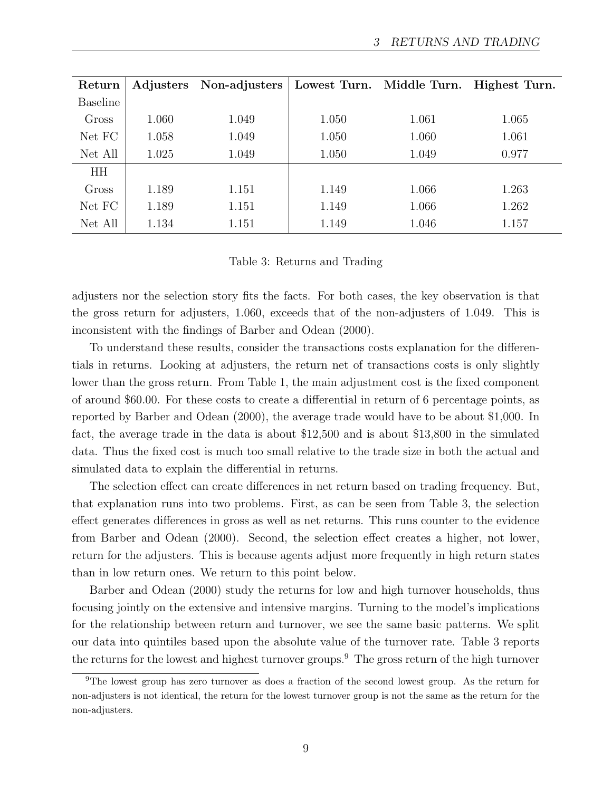| Return          |       | Adjusters Non-adjusters |       | Lowest Turn. Middle Turn. | Highest Turn. |
|-----------------|-------|-------------------------|-------|---------------------------|---------------|
| <b>Baseline</b> |       |                         |       |                           |               |
| Gross           | 1.060 | 1.049                   | 1.050 | 1.061                     | 1.065         |
| Net FC          | 1.058 | 1.049                   | 1.050 | 1.060                     | 1.061         |
| Net All         | 1.025 | 1.049                   | 1.050 | 1.049                     | 0.977         |
| <b>HH</b>       |       |                         |       |                           |               |
| Gross           | 1.189 | 1.151                   | 1.149 | 1.066                     | 1.263         |
| Net FC          | 1.189 | 1.151                   | 1.149 | 1.066                     | 1.262         |
| Net All         | 1.134 | 1.151                   | 1.149 | 1.046                     | 1.157         |

Table 3: Returns and Trading

adjusters nor the selection story fits the facts. For both cases, the key observation is that the gross return for adjusters, 1.060, exceeds that of the non-adjusters of 1.049. This is inconsistent with the findings of Barber and Odean (2000).

To understand these results, consider the transactions costs explanation for the differentials in returns. Looking at adjusters, the return net of transactions costs is only slightly lower than the gross return. From Table 1, the main adjustment cost is the fixed component of around \$60.00. For these costs to create a differential in return of 6 percentage points, as reported by Barber and Odean (2000), the average trade would have to be about \$1,000. In fact, the average trade in the data is about \$12,500 and is about \$13,800 in the simulated data. Thus the fixed cost is much too small relative to the trade size in both the actual and simulated data to explain the differential in returns.

The selection effect can create differences in net return based on trading frequency. But, that explanation runs into two problems. First, as can be seen from Table 3, the selection effect generates differences in gross as well as net returns. This runs counter to the evidence from Barber and Odean (2000). Second, the selection effect creates a higher, not lower, return for the adjusters. This is because agents adjust more frequently in high return states than in low return ones. We return to this point below.

Barber and Odean (2000) study the returns for low and high turnover households, thus focusing jointly on the extensive and intensive margins. Turning to the model's implications for the relationship between return and turnover, we see the same basic patterns. We split our data into quintiles based upon the absolute value of the turnover rate. Table 3 reports the returns for the lowest and highest turnover groups.<sup>9</sup> The gross return of the high turnover

<sup>&</sup>lt;sup>9</sup>The lowest group has zero turnover as does a fraction of the second lowest group. As the return for non-adjusters is not identical, the return for the lowest turnover group is not the same as the return for the non-adjusters.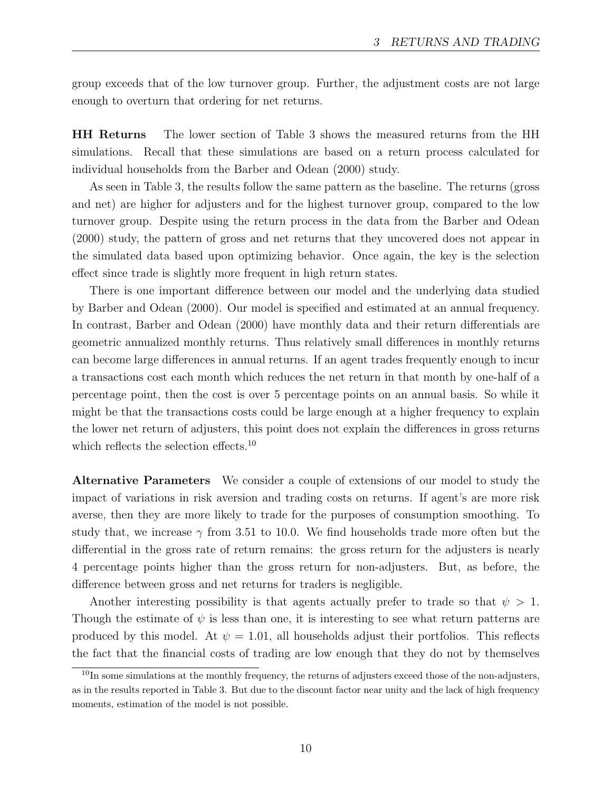group exceeds that of the low turnover group. Further, the adjustment costs are not large enough to overturn that ordering for net returns.

HH Returns The lower section of Table 3 shows the measured returns from the HH simulations. Recall that these simulations are based on a return process calculated for individual households from the Barber and Odean (2000) study.

As seen in Table 3, the results follow the same pattern as the baseline. The returns (gross and net) are higher for adjusters and for the highest turnover group, compared to the low turnover group. Despite using the return process in the data from the Barber and Odean (2000) study, the pattern of gross and net returns that they uncovered does not appear in the simulated data based upon optimizing behavior. Once again, the key is the selection effect since trade is slightly more frequent in high return states.

There is one important difference between our model and the underlying data studied by Barber and Odean (2000). Our model is specified and estimated at an annual frequency. In contrast, Barber and Odean (2000) have monthly data and their return differentials are geometric annualized monthly returns. Thus relatively small differences in monthly returns can become large differences in annual returns. If an agent trades frequently enough to incur a transactions cost each month which reduces the net return in that month by one-half of a percentage point, then the cost is over 5 percentage points on an annual basis. So while it might be that the transactions costs could be large enough at a higher frequency to explain the lower net return of adjusters, this point does not explain the differences in gross returns which reflects the selection effects.<sup>10</sup>

Alternative Parameters We consider a couple of extensions of our model to study the impact of variations in risk aversion and trading costs on returns. If agent's are more risk averse, then they are more likely to trade for the purposes of consumption smoothing. To study that, we increase  $\gamma$  from 3.51 to 10.0. We find households trade more often but the differential in the gross rate of return remains: the gross return for the adjusters is nearly 4 percentage points higher than the gross return for non-adjusters. But, as before, the difference between gross and net returns for traders is negligible.

Another interesting possibility is that agents actually prefer to trade so that  $\psi > 1$ . Though the estimate of  $\psi$  is less than one, it is interesting to see what return patterns are produced by this model. At  $\psi = 1.01$ , all households adjust their portfolios. This reflects the fact that the financial costs of trading are low enough that they do not by themselves

 $10$ In some simulations at the monthly frequency, the returns of adjusters exceed those of the non-adjusters, as in the results reported in Table 3. But due to the discount factor near unity and the lack of high frequency moments, estimation of the model is not possible.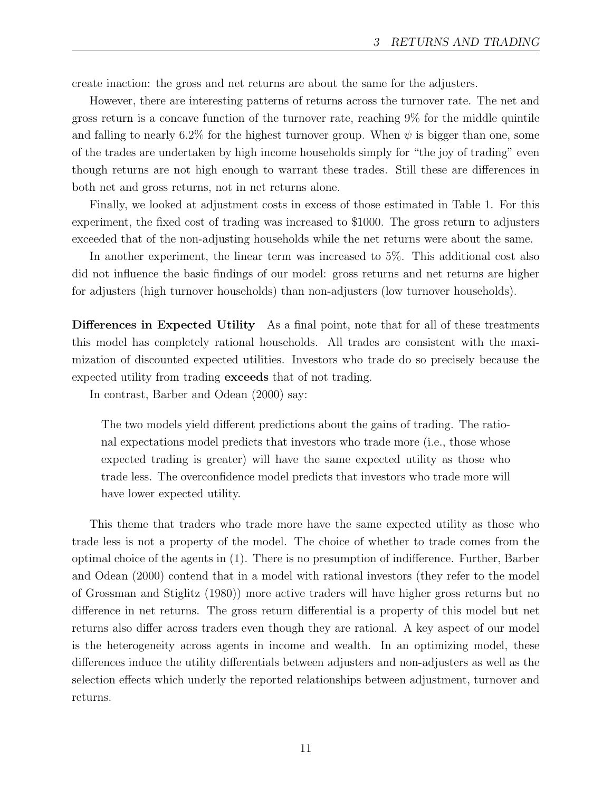create inaction: the gross and net returns are about the same for the adjusters.

However, there are interesting patterns of returns across the turnover rate. The net and gross return is a concave function of the turnover rate, reaching 9% for the middle quintile and falling to nearly 6.2% for the highest turnover group. When  $\psi$  is bigger than one, some of the trades are undertaken by high income households simply for "the joy of trading" even though returns are not high enough to warrant these trades. Still these are differences in both net and gross returns, not in net returns alone.

Finally, we looked at adjustment costs in excess of those estimated in Table 1. For this experiment, the fixed cost of trading was increased to \$1000. The gross return to adjusters exceeded that of the non-adjusting households while the net returns were about the same.

In another experiment, the linear term was increased to 5%. This additional cost also did not influence the basic findings of our model: gross returns and net returns are higher for adjusters (high turnover households) than non-adjusters (low turnover households).

Differences in Expected Utility As a final point, note that for all of these treatments this model has completely rational households. All trades are consistent with the maximization of discounted expected utilities. Investors who trade do so precisely because the expected utility from trading exceeds that of not trading.

In contrast, Barber and Odean (2000) say:

The two models yield different predictions about the gains of trading. The rational expectations model predicts that investors who trade more (i.e., those whose expected trading is greater) will have the same expected utility as those who trade less. The overconfidence model predicts that investors who trade more will have lower expected utility.

This theme that traders who trade more have the same expected utility as those who trade less is not a property of the model. The choice of whether to trade comes from the optimal choice of the agents in (1). There is no presumption of indifference. Further, Barber and Odean (2000) contend that in a model with rational investors (they refer to the model of Grossman and Stiglitz (1980)) more active traders will have higher gross returns but no difference in net returns. The gross return differential is a property of this model but net returns also differ across traders even though they are rational. A key aspect of our model is the heterogeneity across agents in income and wealth. In an optimizing model, these differences induce the utility differentials between adjusters and non-adjusters as well as the selection effects which underly the reported relationships between adjustment, turnover and returns.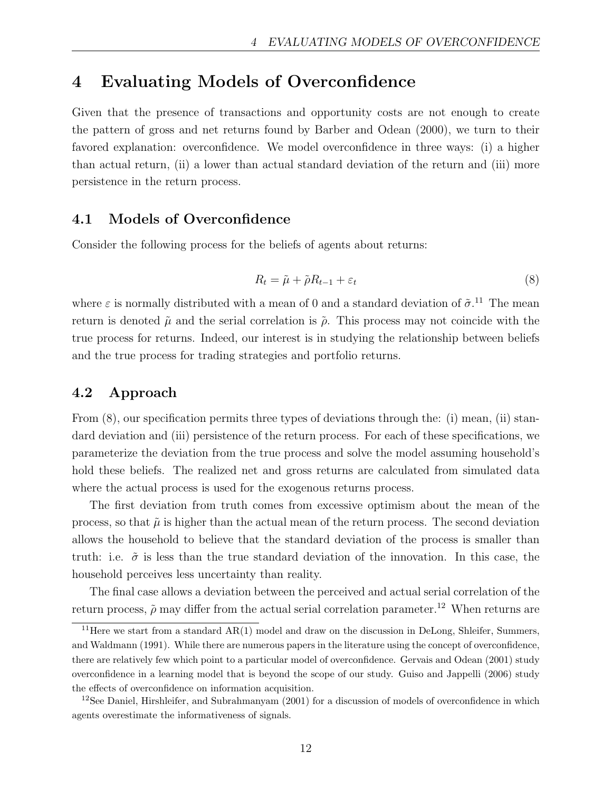# 4 Evaluating Models of Overconfidence

Given that the presence of transactions and opportunity costs are not enough to create the pattern of gross and net returns found by Barber and Odean (2000), we turn to their favored explanation: overconfidence. We model overconfidence in three ways: (i) a higher than actual return, (ii) a lower than actual standard deviation of the return and (iii) more persistence in the return process.

## 4.1 Models of Overconfidence

Consider the following process for the beliefs of agents about returns:

$$
R_t = \tilde{\mu} + \tilde{\rho} R_{t-1} + \varepsilon_t \tag{8}
$$

where  $\varepsilon$  is normally distributed with a mean of 0 and a standard deviation of  $\tilde{\sigma}$ .<sup>11</sup> The mean return is denoted  $\tilde{\mu}$  and the serial correlation is  $\tilde{\rho}$ . This process may not coincide with the true process for returns. Indeed, our interest is in studying the relationship between beliefs and the true process for trading strategies and portfolio returns.

## 4.2 Approach

From (8), our specification permits three types of deviations through the: (i) mean, (ii) standard deviation and (iii) persistence of the return process. For each of these specifications, we parameterize the deviation from the true process and solve the model assuming household's hold these beliefs. The realized net and gross returns are calculated from simulated data where the actual process is used for the exogenous returns process.

The first deviation from truth comes from excessive optimism about the mean of the process, so that  $\tilde{\mu}$  is higher than the actual mean of the return process. The second deviation allows the household to believe that the standard deviation of the process is smaller than truth: i.e.  $\tilde{\sigma}$  is less than the true standard deviation of the innovation. In this case, the household perceives less uncertainty than reality.

The final case allows a deviation between the perceived and actual serial correlation of the return process,  $\tilde{\rho}$  may differ from the actual serial correlation parameter.<sup>12</sup> When returns are

<sup>&</sup>lt;sup>11</sup>Here we start from a standard  $AR(1)$  model and draw on the discussion in DeLong, Shleifer, Summers, and Waldmann (1991). While there are numerous papers in the literature using the concept of overconfidence, there are relatively few which point to a particular model of overconfidence. Gervais and Odean (2001) study overconfidence in a learning model that is beyond the scope of our study. Guiso and Jappelli (2006) study the effects of overconfidence on information acquisition.

<sup>&</sup>lt;sup>12</sup>See Daniel, Hirshleifer, and Subrahmanyam  $(2001)$  for a discussion of models of overconfidence in which agents overestimate the informativeness of signals.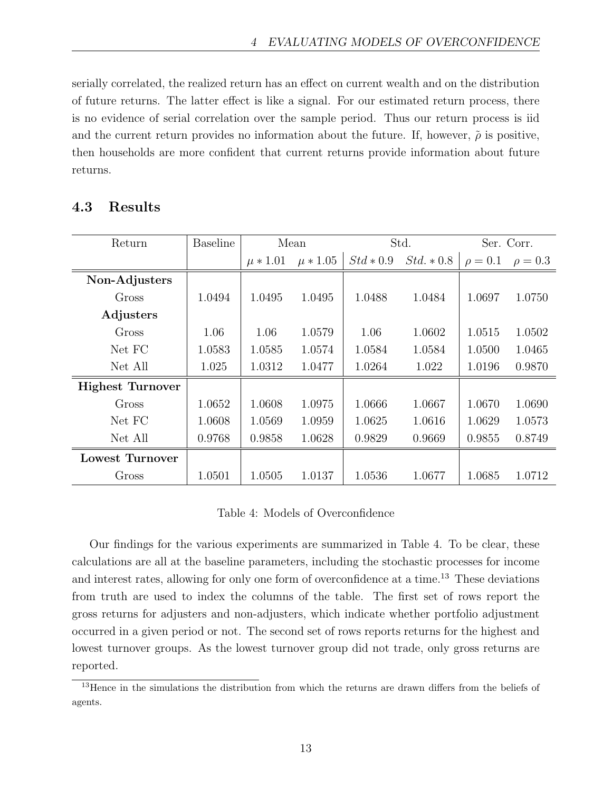serially correlated, the realized return has an effect on current wealth and on the distribution of future returns. The latter effect is like a signal. For our estimated return process, there is no evidence of serial correlation over the sample period. Thus our return process is iid and the current return provides no information about the future. If, however,  $\tilde{\rho}$  is positive, then households are more confident that current returns provide information about future returns.

| Return                  | <b>Baseline</b> | Mean         |              | Std.        |              | Ser. Corr.   |              |
|-------------------------|-----------------|--------------|--------------|-------------|--------------|--------------|--------------|
|                         |                 | $\mu * 1.01$ | $\mu * 1.05$ | $Std * 0.9$ | $Std. * 0.8$ | $\rho = 0.1$ | $\rho = 0.3$ |
| Non-Adjusters           |                 |              |              |             |              |              |              |
| Gross                   | 1.0494          | 1.0495       | 1.0495       | 1.0488      | 1.0484       | 1.0697       | 1.0750       |
| Adjusters               |                 |              |              |             |              |              |              |
| Gross                   | 1.06            | 1.06         | 1.0579       | 1.06        | 1.0602       | 1.0515       | 1.0502       |
| Net FC                  | 1.0583          | 1.0585       | 1.0574       | 1.0584      | 1.0584       | 1.0500       | 1.0465       |
| Net All                 | 1.025           | 1.0312       | 1.0477       | 1.0264      | 1.022        | 1.0196       | 0.9870       |
| <b>Highest Turnover</b> |                 |              |              |             |              |              |              |
| Gross                   | 1.0652          | 1.0608       | 1.0975       | 1.0666      | 1.0667       | 1.0670       | 1.0690       |
| Net FC                  | 1.0608          | 1.0569       | 1.0959       | 1.0625      | 1.0616       | 1.0629       | 1.0573       |
| Net All                 | 0.9768          | 0.9858       | 1.0628       | 0.9829      | 0.9669       | 0.9855       | 0.8749       |
| Lowest Turnover         |                 |              |              |             |              |              |              |
| Gross                   | 1.0501          | 1.0505       | 1.0137       | 1.0536      | 1.0677       | 1.0685       | 1.0712       |

## Table 4: Models of Overconfidence

Our findings for the various experiments are summarized in Table 4. To be clear, these calculations are all at the baseline parameters, including the stochastic processes for income and interest rates, allowing for only one form of overconfidence at a time.<sup>13</sup> These deviations from truth are used to index the columns of the table. The first set of rows report the gross returns for adjusters and non-adjusters, which indicate whether portfolio adjustment occurred in a given period or not. The second set of rows reports returns for the highest and lowest turnover groups. As the lowest turnover group did not trade, only gross returns are reported.

<sup>&</sup>lt;sup>13</sup>Hence in the simulations the distribution from which the returns are drawn differs from the beliefs of agents.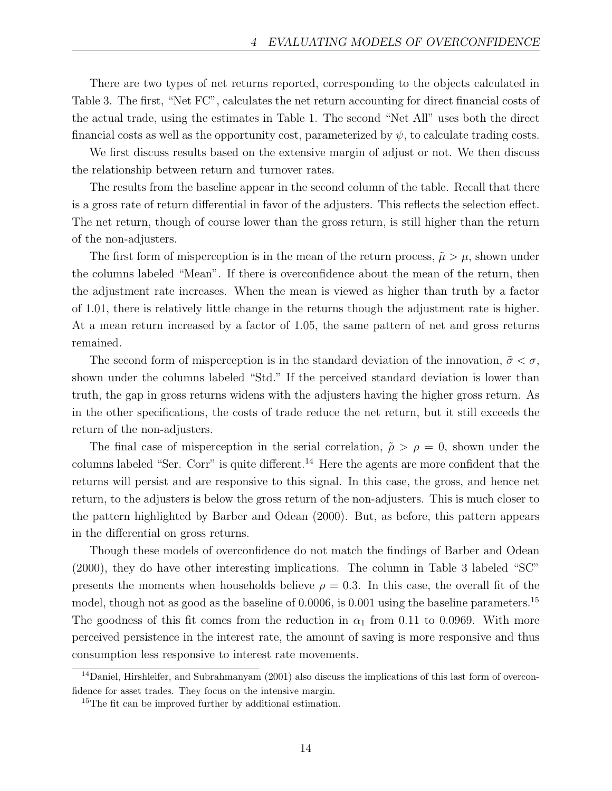There are two types of net returns reported, corresponding to the objects calculated in Table 3. The first, "Net FC", calculates the net return accounting for direct financial costs of the actual trade, using the estimates in Table 1. The second "Net All" uses both the direct financial costs as well as the opportunity cost, parameterized by  $\psi$ , to calculate trading costs.

We first discuss results based on the extensive margin of adjust or not. We then discuss the relationship between return and turnover rates.

The results from the baseline appear in the second column of the table. Recall that there is a gross rate of return differential in favor of the adjusters. This reflects the selection effect. The net return, though of course lower than the gross return, is still higher than the return of the non-adjusters.

The first form of misperception is in the mean of the return process,  $\tilde{\mu} > \mu$ , shown under the columns labeled "Mean". If there is overconfidence about the mean of the return, then the adjustment rate increases. When the mean is viewed as higher than truth by a factor of 1.01, there is relatively little change in the returns though the adjustment rate is higher. At a mean return increased by a factor of 1.05, the same pattern of net and gross returns remained.

The second form of misperception is in the standard deviation of the innovation,  $\tilde{\sigma} < \sigma$ , shown under the columns labeled "Std." If the perceived standard deviation is lower than truth, the gap in gross returns widens with the adjusters having the higher gross return. As in the other specifications, the costs of trade reduce the net return, but it still exceeds the return of the non-adjusters.

The final case of misperception in the serial correlation,  $\tilde{\rho} > \rho = 0$ , shown under the columns labeled "Ser. Corr" is quite different.<sup>14</sup> Here the agents are more confident that the returns will persist and are responsive to this signal. In this case, the gross, and hence net return, to the adjusters is below the gross return of the non-adjusters. This is much closer to the pattern highlighted by Barber and Odean (2000). But, as before, this pattern appears in the differential on gross returns.

Though these models of overconfidence do not match the findings of Barber and Odean (2000), they do have other interesting implications. The column in Table 3 labeled "SC" presents the moments when households believe  $\rho = 0.3$ . In this case, the overall fit of the model, though not as good as the baseline of 0.0006, is 0.001 using the baseline parameters.<sup>15</sup> The goodness of this fit comes from the reduction in  $\alpha_1$  from 0.11 to 0.0969. With more perceived persistence in the interest rate, the amount of saving is more responsive and thus consumption less responsive to interest rate movements.

<sup>&</sup>lt;sup>14</sup>Daniel, Hirshleifer, and Subrahmanyam (2001) also discuss the implications of this last form of overconfidence for asset trades. They focus on the intensive margin.

<sup>&</sup>lt;sup>15</sup>The fit can be improved further by additional estimation.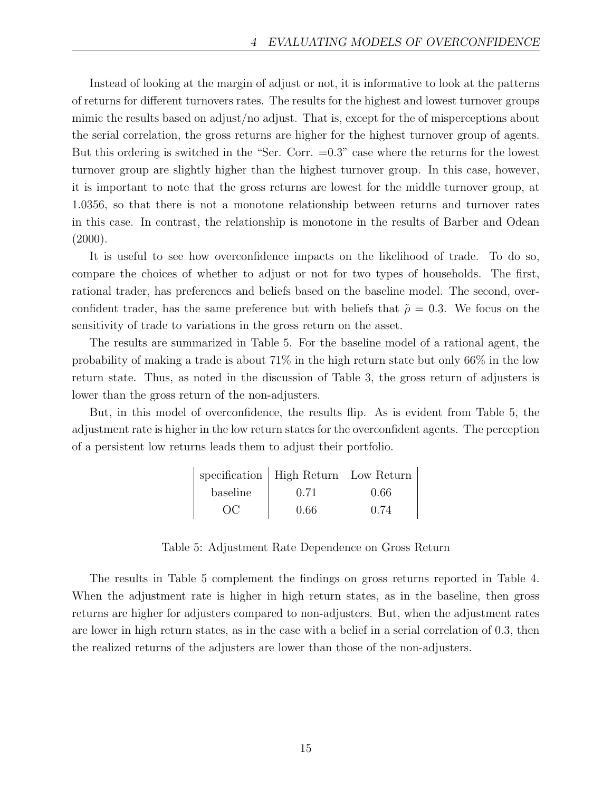Instead of looking at the margin of adjust or not, it is informative to look at the patterns of returns for different turnovers rates. The results for the highest and lowest turnover groups mimic the results based on adjust/no adjust. That is, except for the of misperceptions about the serial correlation, the gross returns are higher for the highest turnover group of agents. But this ordering is switched in the "Ser. Corr.  $=0.3$ " case where the returns for the lowest turnover group are slightly higher than the highest turnover group. In this case, however, it is important to note that the gross returns are lowest for the middle turnover group, at 1.0356, so that there is not a monotone relationship between returns and turnover rates in this case. In contrast, the relationship is monotone in the results of Barber and Odean  $(2000).$ 

It is useful to see how overconfidence impacts on the likelihood of trade. To do so, compare the choices of whether to adjust or not for two types of households. The first, rational trader, has preferences and beliefs based on the baseline model. The second, overconfident trader, has the same preference but with beliefs that  $\tilde{\rho} = 0.3$ . We focus on the sensitivity of trade to variations in the gross return on the asset.

The results are summarized in Table 5. For the baseline model of a rational agent, the probability of making a trade is about 71% in the high return state but only 66% in the low return state. Thus, as noted in the discussion of Table 3, the gross return of adjusters is lower than the gross return of the non-adjusters.

But, in this model of overconfidence, the results flip. As is evident from Table 5, the adjustment rate is higher in the low return states for the overconfident agents. The perception of a persistent low returns leads them to adjust their portfolio.

|          | specification   High Return Low Return |      |
|----------|----------------------------------------|------|
| baseline | 0.71                                   | 0.66 |
| OC       | 0.66                                   | 0.74 |

Table 5: Adjustment Rate Dependence on Gross Return

The results in Table 5 complement the findings on gross returns reported in Table 4. When the adjustment rate is higher in high return states, as in the baseline, then gross returns are higher for adjusters compared to non-adjusters. But, when the adjustment rates are lower in high return states, as in the case with a belief in a serial correlation of 0.3, then the realized returns of the adjusters are lower than those of the non-adjusters.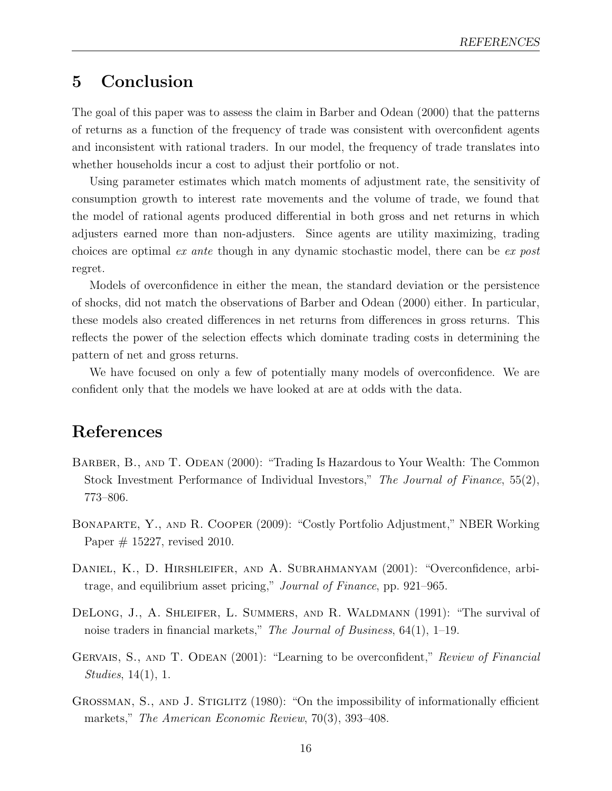# 5 Conclusion

The goal of this paper was to assess the claim in Barber and Odean (2000) that the patterns of returns as a function of the frequency of trade was consistent with overconfident agents and inconsistent with rational traders. In our model, the frequency of trade translates into whether households incur a cost to adjust their portfolio or not.

Using parameter estimates which match moments of adjustment rate, the sensitivity of consumption growth to interest rate movements and the volume of trade, we found that the model of rational agents produced differential in both gross and net returns in which adjusters earned more than non-adjusters. Since agents are utility maximizing, trading choices are optimal ex ante though in any dynamic stochastic model, there can be ex post regret.

Models of overconfidence in either the mean, the standard deviation or the persistence of shocks, did not match the observations of Barber and Odean (2000) either. In particular, these models also created differences in net returns from differences in gross returns. This reflects the power of the selection effects which dominate trading costs in determining the pattern of net and gross returns.

We have focused on only a few of potentially many models of overconfidence. We are confident only that the models we have looked at are at odds with the data.

# References

- BARBER, B., AND T. ODEAN (2000): "Trading Is Hazardous to Your Wealth: The Common Stock Investment Performance of Individual Investors," The Journal of Finance, 55(2), 773–806.
- Bonaparte, Y., and R. Cooper (2009): "Costly Portfolio Adjustment," NBER Working Paper # 15227, revised 2010.
- Daniel, K., D. Hirshleifer, and A. Subrahmanyam (2001): "Overconfidence, arbitrage, and equilibrium asset pricing," Journal of Finance, pp. 921–965.
- DELONG, J., A. SHLEIFER, L. SUMMERS, AND R. WALDMANN (1991): "The survival of noise traders in financial markets," The Journal of Business,  $64(1)$ ,  $1-19$ .
- GERVAIS, S., AND T. ODEAN (2001): "Learning to be overconfident," Review of Financial Studies, 14(1), 1.
- GROSSMAN, S., AND J. STIGLITZ (1980): "On the impossibility of informationally efficient markets," The American Economic Review, 70(3), 393-408.